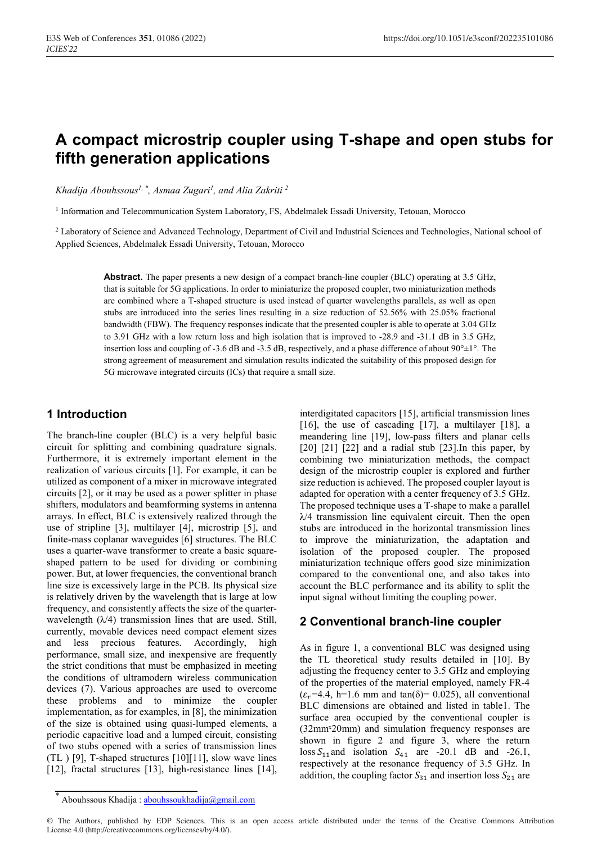# **A compact microstrip coupler using T-shape and open stubs for fifth generation applications**

*Khadija Abouhssous1, \*, Asmaa Zugari1 , and Alia Zakriti <sup>2</sup>*

<sup>1</sup> Information and Telecommunication System Laboratory, FS, Abdelmalek Essadi University, Tetouan, Morocco

<sup>2</sup> Laboratory of Science and Advanced Technology, Department of Civil and Industrial Sciences and Technologies, National school of Applied Sciences, Abdelmalek Essadi University, Tetouan, Morocco

**Abstract.** The paper presents a new design of a compact branch-line coupler (BLC) operating at 3.5 GHz, that is suitable for 5G applications. In order to miniaturize the proposed coupler, two miniaturization methods are combined where a T-shaped structure is used instead of quarter wavelengths parallels, as well as open stubs are introduced into the series lines resulting in a size reduction of 52.56% with 25.05% fractional bandwidth (FBW). The frequency responses indicate that the presented coupler is able to operate at 3.04 GHz to 3.91 GHz with a low return loss and high isolation that is improved to -28.9 and -31.1 dB in 3.5 GHz, insertion loss and coupling of -3.6 dB and -3.5 dB, respectively, and a phase difference of about 90°±1°. The strong agreement of measurement and simulation results indicated the suitability of this proposed design for 5G microwave integrated circuits (ICs) that require a small size.

## **1 Introduction**

The branch-line coupler (BLC) is a very helpful basic circuit for splitting and combining quadrature signals. Furthermore, it is extremely important element in the realization of various circuits [1]. For example, it can be utilized as component of a mixer in microwave integrated circuits [2], or it may be used as a power splitter in phase shifters, modulators and beamforming systems in antenna arrays. In effect, BLC is extensively realized through the use of stripline [3], multilayer [4], microstrip [5], and finite-mass coplanar waveguides [6] structures. The BLC uses a quarter-wave transformer to create a basic squareshaped pattern to be used for dividing or combining power. But, at lower frequencies, the conventional branch line size is excessively large in the PCB. Its physical size is relatively driven by the wavelength that is large at low frequency, and consistently affects the size of the quarterwavelength  $(\lambda/4)$  transmission lines that are used. Still, currently, movable devices need compact element sizes and less precious features. Accordingly, high performance, small size, and inexpensive are frequently the strict conditions that must be emphasized in meeting the conditions of ultramodern wireless communication devices (7). Various approaches are used to overcome these problems and to minimize the coupler implementation, as for examples, in [8], the minimization of the size is obtained using quasi-lumped elements, a periodic capacitive load and a lumped circuit, consisting of two stubs opened with a series of transmission lines (TL ) [9], T-shaped structures [10][11], slow wave lines [12], fractal structures [13], high-resistance lines [14],

interdigitated capacitors [15], artificial transmission lines [16], the use of cascading [17], a multilayer [18], a meandering line [19], low-pass filters and planar cells  $[20]$   $[21]$   $[22]$  and a radial stub  $[23]$ . In this paper, by combining two miniaturization methods, the compact design of the microstrip coupler is explored and further size reduction is achieved. The proposed coupler layout is adapted for operation with a center frequency of 3.5 GHz. The proposed technique uses a T-shape to make a parallel  $\lambda$ /4 transmission line equivalent circuit. Then the open stubs are introduced in the horizontal transmission lines to improve the miniaturization, the adaptation and isolation of the proposed coupler. The proposed miniaturization technique offers good size minimization compared to the conventional one, and also takes into account the BLC performance and its ability to split the input signal without limiting the coupling power.

### **2 Conventional branch-line coupler**

As in figure 1, a conventional BLC was designed using the TL theoretical study results detailed in [10]. By adjusting the frequency center to 3.5 GHz and employing of the properties of the material employed, namely FR-4  $(\varepsilon_r = 4.4, h=1.6 \text{ mm and } \tan(\delta) = 0.025)$ , all conventional BLC dimensions are obtained and listed in table1. The surface area occupied by the conventional coupler is (32mmˣ20mm) and simulation frequency responses are shown in figure 2 and figure 3, where the return loss  $S_{11}$  and isolation  $S_{41}$  are -20.1 dB and -26.1, respectively at the resonance frequency of 3.5 GHz. In addition, the coupling factor  $S_{31}$  and insertion loss  $S_{21}$  are

Abouhssous Khadija : abouhssoukhadija@gmail.com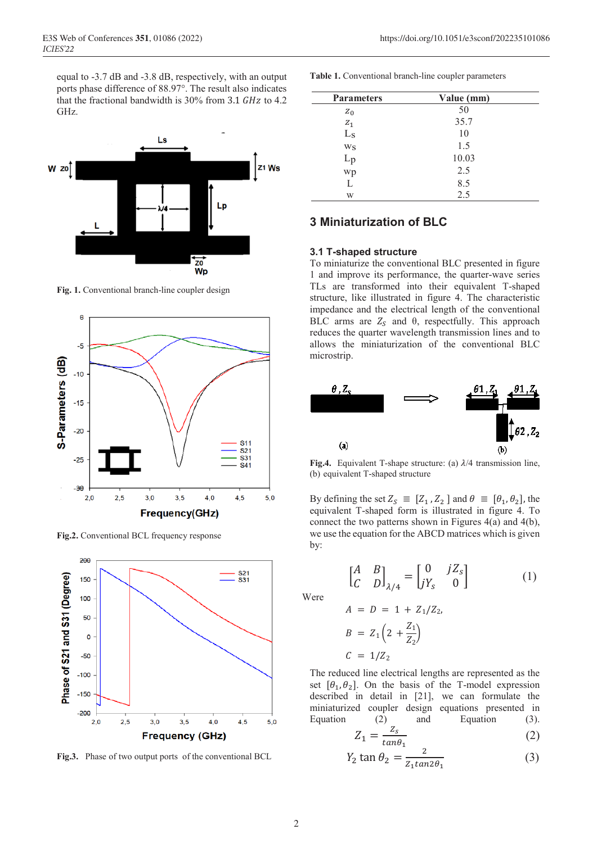equal to -3.7 dB and -3.8 dB, respectively, with an output ports phase difference of 88.97°. The result also indicates that the fractional bandwidth is  $30\%$  from 3.1  $GHz$  to 4.2 GHz.



Fig. 1. Conventional branch-line coupler design



**Fig.2.** Conventional BCL frequency response



**Fig.3.** Phase of two output ports of the conventional BCL

**Table 1.** Conventional branch-line coupler parameters

| <b>Parameters</b> | Value (mm) |  |
|-------------------|------------|--|
| $Z_0$             | 50         |  |
| $Z_1$             | 35.7       |  |
| $L_S$             | 10         |  |
| WS                | 1.5        |  |
| Lp                | 10.03      |  |
| wp                | 2.5        |  |
| L                 | 8.5        |  |
| W                 | 2.5        |  |

## **3 Miniaturization of BLC**

#### **3.1 T-shaped structure**

To miniaturize the conventional BLC presented in figure 1 and improve its performance, the quarter-wave series TLs are transformed into their equivalent T-shaped structure, like illustrated in figure 4. The characteristic impedance and the electrical length of the conventional BLC arms are  $Z_s$  and  $\theta$ , respectfully. This approach reduces the quarter wavelength transmission lines and to allows the miniaturization of the conventional BLC microstrip.



**Fig.4.** Equivalent T-shape structure: (a)  $\lambda$ /4 transmission line, (b) equivalent T-shaped structure

By defining the set  $Z_s \equiv [Z_1, Z_2]$  and  $\theta \equiv [\theta_1, \theta_2]$ , the equivalent T-shaped form is illustrated in figure 4. To connect the two patterns shown in Figures 4(a) and 4(b), we use the equation for the ABCD matrices which is given by:

$$
\begin{pmatrix} A & B \\ C & D \end{pmatrix}_{\lambda/4} = \begin{bmatrix} 0 & jZ_s \\ jY_s & 0 \end{bmatrix}
$$
 (1)

Were

$$
B = Z_1 \left( 2 + \frac{Z_1}{Z_2} \right)
$$
  

$$
C = 1/Z_2
$$

 $A = D = 1 + Z_1/Z_2$ 

The reduced line electrical lengths are represented as the set  $[\theta_1, \theta_2]$ . On the basis of the T-model expression described in detail in [21], we can formulate the miniaturized coupler design equations presented in Equation (2) and Equation (3).

$$
Z_1 = \frac{Z_s}{\tan \theta_1} \tag{2}
$$

$$
Y_2 \tan \theta_2 = \frac{2}{Z_1 \tan 2\theta_1} \tag{3}
$$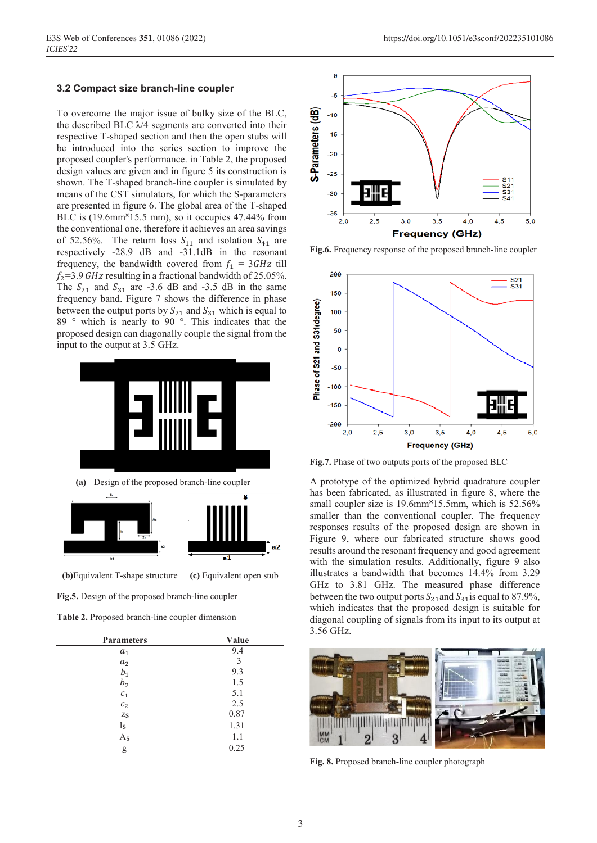#### **3.2 Compact size branch-line coupler**

To overcome the major issue of bulky size of the BLC, the described BLC  $\lambda$ /4 segments are converted into their respective T-shaped section and then the open stubs will be introduced into the series section to improve the proposed coupler's performance. in Table 2, the proposed design values are given and in figure 5 its construction is shown. The T-shaped branch-line coupler is simulated by means of the CST simulators, for which the S-parameters are presented in figure 6. The global area of the T-shaped BLC is (19.6mm<sup>×</sup>15.5 mm), so it occupies 47.44% from the conventional one, therefore it achieves an area savings of 52.56%. The return loss  $S_{11}$  and isolation  $S_{41}$  are respectively -28.9 dB and -31.1dB in the resonant frequency, the bandwidth covered from  $f_1 = 3 GHz$  till  $f_2$ =3.9 *GHz* resulting in a fractional bandwidth of 25.05%. The  $S_{21}$  and  $S_{31}$  are -3.6 dB and -3.5 dB in the same frequency band. Figure 7 shows the difference in phase between the output ports by  $S_{21}$  and  $S_{31}$  which is equal to 89 ° which is nearly to 90 °. This indicates that the proposed design can diagonally couple the signal from the input to the output at 3.5 GHz.



**(b)**Equivalent T-shape structure **(c)** Equivalent open stub

**Fig.5.** Design of the proposed branch-line coupler

|  |  | <b>Table 2.</b> Proposed branch-line coupler dimension |  |  |
|--|--|--------------------------------------------------------|--|--|
|--|--|--------------------------------------------------------|--|--|

| <b>Parameters</b>                                              | Value |
|----------------------------------------------------------------|-------|
| $a_1$                                                          | 9.4   |
| $a_2^-$                                                        | 3     |
|                                                                | 9.3   |
|                                                                | 1.5   |
| $\begin{array}{c} b_1 \\ b_2 \\ c_1 \\ c_2 \\ z_S \end{array}$ | 5.1   |
|                                                                | 2.5   |
|                                                                | 0.87  |
| ls                                                             | 1.31  |
| $A_{S}$                                                        | 1.1   |
| g                                                              | 0.25  |



**Fig.6.** Frequency response of the proposed branch-line coupler



**Fig.7.** Phase of two outputs ports of the proposed BLC

A prototype of the optimized hybrid quadrature coupler has been fabricated, as illustrated in figure 8, where the small coupler size is 19.6mm<sup>×</sup>15.5mm, which is 52.56% smaller than the conventional coupler. The frequency responses results of the proposed design are shown in Figure 9, where our fabricated structure shows good results around the resonant frequency and good agreement with the simulation results. Additionally, figure 9 also illustrates a bandwidth that becomes 14.4% from 3.29 GHz to 3.81 GHz. The measured phase difference between the two output ports  $S_{21}$  and  $S_{31}$  is equal to 87.9%, which indicates that the proposed design is suitable for diagonal coupling of signals from its input to its output at 3.56 GHz.



**Fig. 8.** Proposed branch-line coupler photograph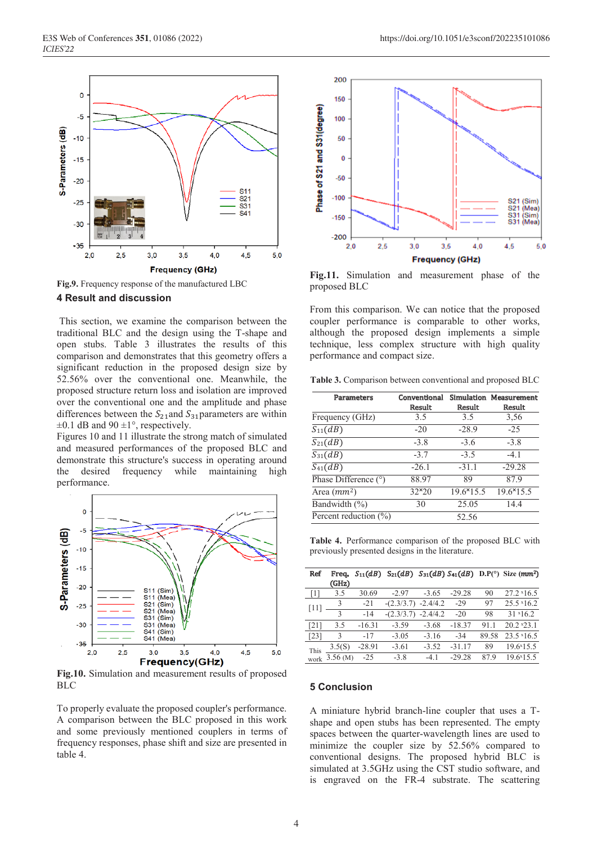

**Fig.9.** Frequency response of the manufactured LBC

#### **4 Result and discussion**

This section, we examine the comparison between the traditional BLC and the design using the T-shape and open stubs. Table 3 illustrates the results of this comparison and demonstrates that this geometry offers a significant reduction in the proposed design size by 52.56% over the conventional one. Meanwhile, the proposed structure return loss and isolation are improved over the conventional one and the amplitude and phase differences between the  $S_{21}$  and  $S_{31}$  parameters are within  $\pm 0.1$  dB and 90  $\pm 1^{\circ}$ , respectively.

Figures 10 and 11 illustrate the strong match of simulated and measured performances of the proposed BLC and demonstrate this structure's success in operating around the desired frequency while maintaining high performance.



**Fig.10.** Simulation and measurement results of proposed BLC

To properly evaluate the proposed coupler's performance. A comparison between the BLC proposed in this work and some previously mentioned couplers in terms of frequency responses, phase shift and size are presented in table 4.



**Fig.11.** Simulation and measurement phase of the proposed BLC

From this comparison. We can notice that the proposed coupler performance is comparable to other works, although the proposed design implements a simple technique, less complex structure with high quality performance and compact size.

**Table 3.** Comparison between conventional and proposed BLC

| <b>Parameters</b>         | Conventional |           | <b>Simulation Measurement</b> |  |
|---------------------------|--------------|-----------|-------------------------------|--|
|                           | Result       | Result    | Result                        |  |
| Frequency (GHz)           | 3.5          | 3.5       | 3,56                          |  |
| $S_{11}(dB)$              | $-20$        | $-28.9$   | $-25$                         |  |
| $S_{21}(dB)$              | $-3.8$       | $-3.6$    | $-3.8$                        |  |
| $S_{31}(dB)$              | $-3.7$       | $-3.5$    | $-41$                         |  |
| $S_{41}(dB)$              | $-26.1$      | $-31.1$   | $-29.28$                      |  |
| Phase Difference (°)      | 88.97        | 89        | 879                           |  |
| Area $(mm^2)$             | $32*20$      | 19.6×15.5 | $19.6*15.5$                   |  |
| Bandwidth (%)             | 30           | 25.05     | 14.4                          |  |
| Percent reduction $(\% )$ |              | 52.56     |                               |  |

**Table 4.** Performance comparison of the proposed BLC with previously presented designs in the literature.

| Ref     | Freq.<br>(GHz) |          |              |            |          |       | $S_{11}(dB)$ $S_{21}(dB)$ $S_{31}(dB)$ $S_{41}(dB)$ $D.P(°)$ Size (mm <sup>2</sup> ) |
|---------|----------------|----------|--------------|------------|----------|-------|--------------------------------------------------------------------------------------|
| $\perp$ | 3.5            | 30.69    | $-2.97$      | $-3.65$    | $-29.28$ | 90    | $27.2*16.5$                                                                          |
| $[11]$  | 3              | $-21$    | $-(2.3/3.7)$ | $-2.4/4.2$ | $-29$    | 97    | $25.5*16.2$                                                                          |
|         | $\mathbf{3}$   | $-14$    | $-(2.3/3.7)$ | $-2.4/4.2$ | $-20$    | 98    | $31 \times 16.2$                                                                     |
| [21]    | 3.5            | $-16.31$ | $-3.59$      | $-3.68$    | $-18.37$ | 91.1  | $20.2 \times 23.1$                                                                   |
| [23]    | 3              | $-17$    | $-3.05$      | $-3.16$    | $-34$    | 89.58 | $23.5*16.5$                                                                          |
| This    | 3.5(S)         | $-28.91$ | $-3.61$      | $-3.52$    | $-31.17$ | 89    | 19.6×15.5                                                                            |
| work    | 3.56(M)        | $-2.5$   | $-3.8$       | $-41$      | $-29.28$ | 879   | 19.6×15.5                                                                            |

#### **5 Conclusion**

A miniature hybrid branch-line coupler that uses a Tshape and open stubs has been represented. The empty spaces between the quarter-wavelength lines are used to minimize the coupler size by 52.56% compared to conventional designs. The proposed hybrid BLC is simulated at 3.5GHz using the CST studio software, and is engraved on the FR-4 substrate. The scattering